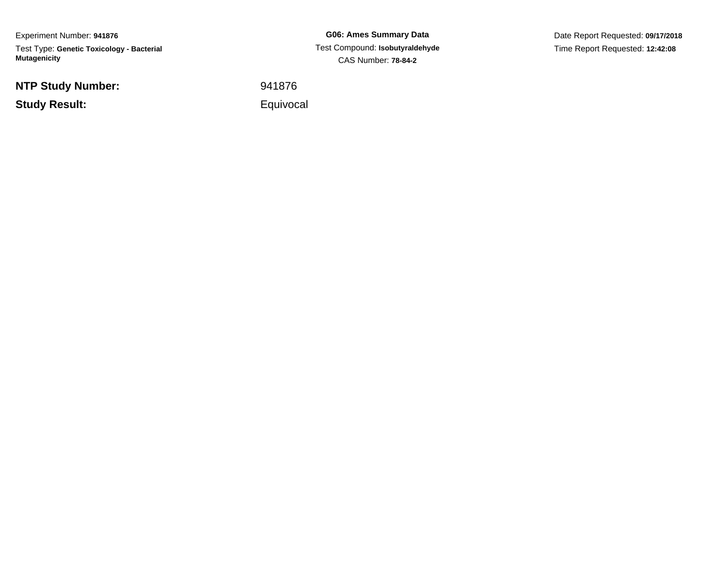Experiment Number: **941876**Test Type: **Genetic Toxicology - Bacterial Mutagenicity**

**NTP Study Number:**

**Study Result:**

**G06: Ames Summary Data** Test Compound: **Isobutyraldehyde**CAS Number: **78-84-2**

Date Report Requested: **09/17/2018**Time Report Requested: **12:42:08**

<sup>941876</sup>

Equivocal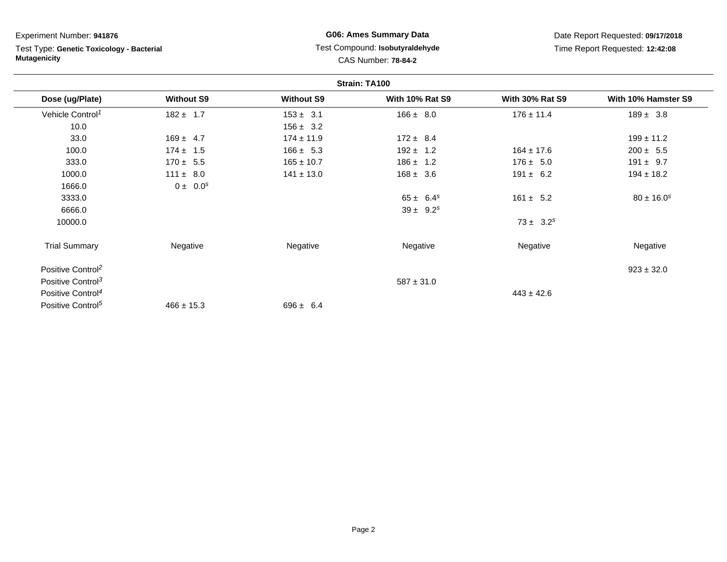Test Type: **Genetic Toxicology - Bacterial Mutagenicity**

# **G06: Ames Summary Data** Test Compound: **Isobutyraldehyde**CAS Number: **78-84-2**

| Strain: TA100                 |                   |                   |                        |                        |                     |  |
|-------------------------------|-------------------|-------------------|------------------------|------------------------|---------------------|--|
| Dose (ug/Plate)               | <b>Without S9</b> | <b>Without S9</b> | <b>With 10% Rat S9</b> | <b>With 30% Rat S9</b> | With 10% Hamster S9 |  |
| Vehicle Control <sup>1</sup>  | $182 \pm 1.7$     | $153 \pm 3.1$     | $166 \pm 8.0$          | $176 \pm 11.4$         | $189 \pm 3.8$       |  |
| 10.0                          |                   | $156 \pm 3.2$     |                        |                        |                     |  |
| 33.0                          | $169 \pm 4.7$     | $174 \pm 11.9$    | $172 \pm 8.4$          |                        | $199 \pm 11.2$      |  |
| 100.0                         | $174 \pm 1.5$     | $166 \pm 5.3$     | $192 \pm 1.2$          | $164 \pm 17.6$         | $200 \pm 5.5$       |  |
| 333.0                         | $170 \pm 5.5$     | $165 \pm 10.7$    | $186 \pm 1.2$          | $176 \pm 5.0$          | $191 \pm 9.7$       |  |
| 1000.0                        | $111 \pm 8.0$     | $141 \pm 13.0$    | $168 \pm 3.6$          | $191 \pm 6.2$          | $194 \pm 18.2$      |  |
| 1666.0                        | $0 \pm 0.0^s$     |                   |                        |                        |                     |  |
| 3333.0                        |                   |                   | $65 \pm 6.4^s$         | $161 \pm 5.2$          | $80 \pm 16.0^s$     |  |
| 6666.0                        |                   |                   | $39 \pm 9.2^s$         |                        |                     |  |
| 10000.0                       |                   |                   |                        | $73 \pm 3.2^s$         |                     |  |
| <b>Trial Summary</b>          | Negative          | Negative          | Negative               | Negative               | Negative            |  |
| Positive Control <sup>2</sup> |                   |                   |                        |                        | $923 \pm 32.0$      |  |
| Positive Control <sup>3</sup> |                   |                   | $587 \pm 31.0$         |                        |                     |  |
| Positive Control <sup>4</sup> |                   |                   |                        | $443 \pm 42.6$         |                     |  |
| Positive Control <sup>5</sup> | $466 \pm 15.3$    | $696 \pm 6.4$     |                        |                        |                     |  |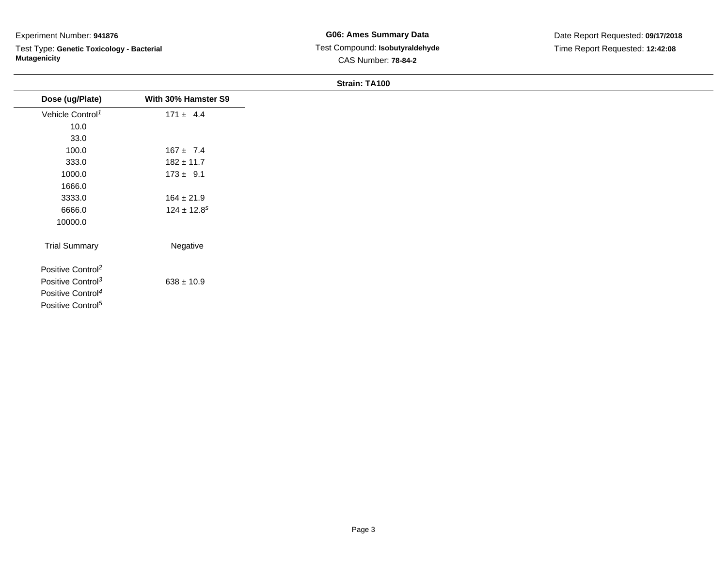Test Type: **Genetic Toxicology - Bacterial Mutagenicity**

| Dose (ug/Plate)               | With 30% Hamster S9 |
|-------------------------------|---------------------|
| Vehicle Control <sup>1</sup>  | $171 \pm 4.4$       |
| 10.0                          |                     |
| 33.0                          |                     |
| 100.0                         | $167 \pm 7.4$       |
| 333.0                         | $182 \pm 11.7$      |
| 1000.0                        | $173 \pm 9.1$       |
| 1666.0                        |                     |
| 3333.0                        | $164 \pm 21.9$      |
| 6666.0                        | $124 \pm 12.8^s$    |
| 10000.0                       |                     |
| <b>Trial Summary</b>          | Negative            |
| Positive Control <sup>2</sup> |                     |
| Positive Control <sup>3</sup> | $638 \pm 10.9$      |
| Positive Control <sup>4</sup> |                     |
| Positive Control <sup>5</sup> |                     |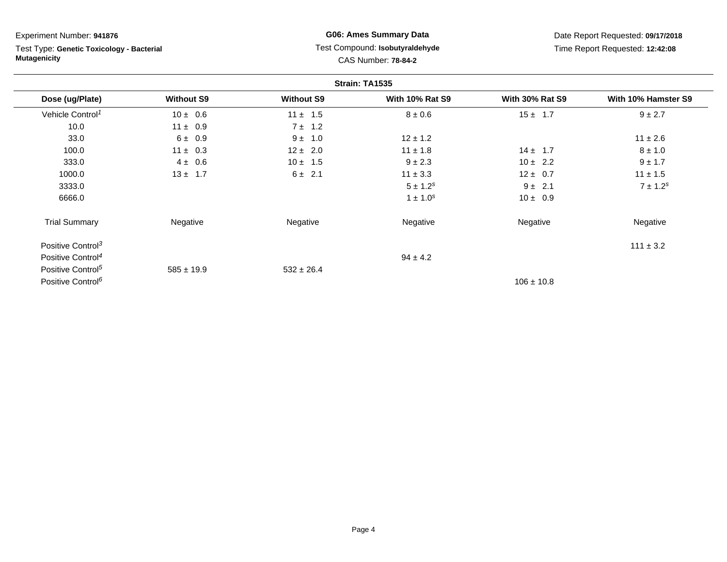Test Type: **Genetic Toxicology - Bacterial Mutagenicity**

# **G06: Ames Summary Data** Test Compound: **Isobutyraldehyde**CAS Number: **78-84-2**

| Strain: TA1535                |                   |                   |                        |                        |                     |
|-------------------------------|-------------------|-------------------|------------------------|------------------------|---------------------|
| Dose (ug/Plate)               | <b>Without S9</b> | <b>Without S9</b> | <b>With 10% Rat S9</b> | <b>With 30% Rat S9</b> | With 10% Hamster S9 |
| Vehicle Control <sup>1</sup>  | $10 \pm 0.6$      | $11 \pm 1.5$      | $8 \pm 0.6$            | $15 \pm 1.7$           | $9 \pm 2.7$         |
| 10.0                          | $11 \pm 0.9$      | 7 ± 1.2           |                        |                        |                     |
| 33.0                          | 6 ± 0.9           | $9 \pm 1.0$       | $12 \pm 1.2$           |                        | $11 \pm 2.6$        |
| 100.0                         | $11 \pm 0.3$      | $12 \pm 2.0$      | $11 \pm 1.8$           | $14 \pm 1.7$           | $8 \pm 1.0$         |
| 333.0                         | $4 \pm 0.6$       | $10 \pm 1.5$      | $9 \pm 2.3$            | $10 \pm 2.2$           | $9 \pm 1.7$         |
| 1000.0                        | $13 \pm 1.7$      | $6 \pm 2.1$       | $11 \pm 3.3$           | $12 \pm 0.7$           | $11 \pm 1.5$        |
| 3333.0                        |                   |                   | $5 \pm 1.2^s$          | $9 \pm 2.1$            | $7 \pm 1.2^s$       |
| 6666.0                        |                   |                   | $1 \pm 1.0^{s}$        | $10 \pm 0.9$           |                     |
| <b>Trial Summary</b>          | Negative          | Negative          | Negative               | Negative               | Negative            |
| Positive Control <sup>3</sup> |                   |                   |                        |                        | $111 \pm 3.2$       |
| Positive Control <sup>4</sup> |                   |                   | $94 \pm 4.2$           |                        |                     |
| Positive Control <sup>5</sup> | $585 \pm 19.9$    | $532 \pm 26.4$    |                        |                        |                     |
| Positive Control <sup>6</sup> |                   |                   |                        | $106 \pm 10.8$         |                     |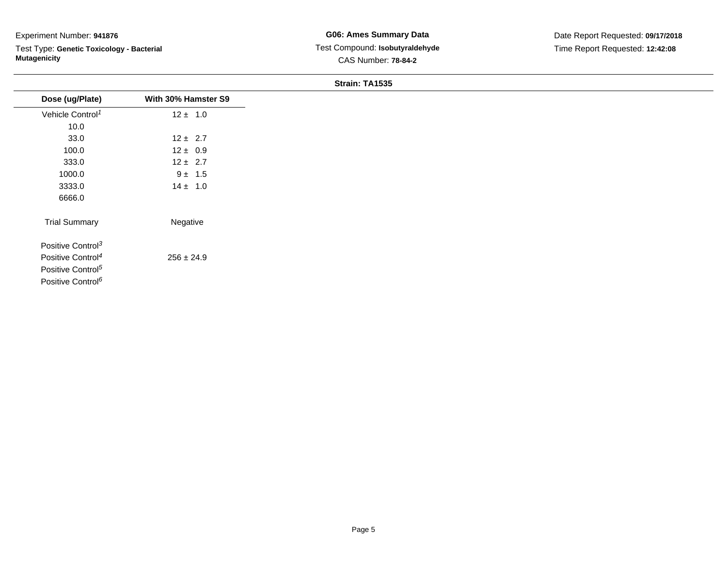Test Type: **Genetic Toxicology - Bacterial Mutagenicity**

| Dose (ug/Plate)               | With 30% Hamster S9 |
|-------------------------------|---------------------|
| Vehicle Control <sup>1</sup>  | $12 \pm 1.0$        |
| 10.0                          |                     |
| 33.0                          | $12 \pm 2.7$        |
| 100.0                         | $12 \pm 0.9$        |
| 333.0                         | $12 \pm 2.7$        |
| 1000.0                        | $9 \pm 1.5$         |
| 3333.0                        | $14 \pm 1.0$        |
| 6666.0                        |                     |
| <b>Trial Summary</b>          | Negative            |
| Positive Control <sup>3</sup> |                     |
| Positive Control <sup>4</sup> | $256 \pm 24.9$      |
| Positive Control <sup>5</sup> |                     |
| Positive Control <sup>6</sup> |                     |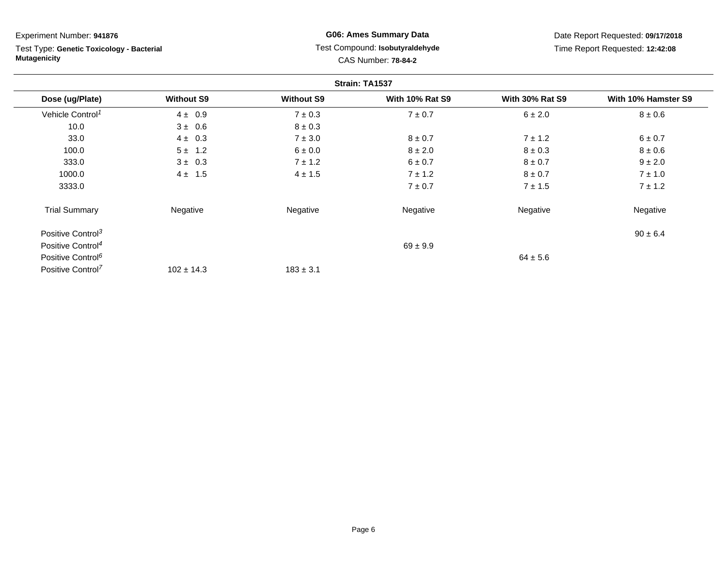Test Type: **Genetic Toxicology - Bacterial Mutagenicity**

# **G06: Ames Summary Data** Test Compound: **Isobutyraldehyde**CAS Number: **78-84-2**

| Strain: TA1537                |                   |                   |                        |                        |                     |  |
|-------------------------------|-------------------|-------------------|------------------------|------------------------|---------------------|--|
| Dose (ug/Plate)               | <b>Without S9</b> | <b>Without S9</b> | <b>With 10% Rat S9</b> | <b>With 30% Rat S9</b> | With 10% Hamster S9 |  |
| Vehicle Control <sup>1</sup>  | $4 \pm 0.9$       | $7 \pm 0.3$       | $7 \pm 0.7$            | 6 ± 2.0                | $8 \pm 0.6$         |  |
| 10.0                          | $3 \pm 0.6$       | $8 \pm 0.3$       |                        |                        |                     |  |
| 33.0                          | $4 \pm 0.3$       | $7 \pm 3.0$       | $8 \pm 0.7$            | $7 \pm 1.2$            | 6 ± 0.7             |  |
| 100.0                         | $5 \pm 1.2$       | $6 \pm 0.0$       | $8 \pm 2.0$            | $8 \pm 0.3$            | $8 \pm 0.6$         |  |
| 333.0                         | $3 \pm 0.3$       | $7 \pm 1.2$       | 6 ± 0.7                | $8 \pm 0.7$            | $9 \pm 2.0$         |  |
| 1000.0                        | $4 \pm 1.5$       | $4 \pm 1.5$       | $7 \pm 1.2$            | $8 \pm 0.7$            | $7 \pm 1.0$         |  |
| 3333.0                        |                   |                   | $7 \pm 0.7$            | $7 \pm 1.5$            | $7 \pm 1.2$         |  |
| <b>Trial Summary</b>          | Negative          | Negative          | Negative               | Negative               | Negative            |  |
| Positive Control <sup>3</sup> |                   |                   |                        |                        | $90 \pm 6.4$        |  |
| Positive Control <sup>4</sup> |                   |                   | $69 \pm 9.9$           |                        |                     |  |
| Positive Control <sup>6</sup> |                   |                   |                        | $64 \pm 5.6$           |                     |  |
| Positive Control <sup>7</sup> | $102 \pm 14.3$    | $183 \pm 3.1$     |                        |                        |                     |  |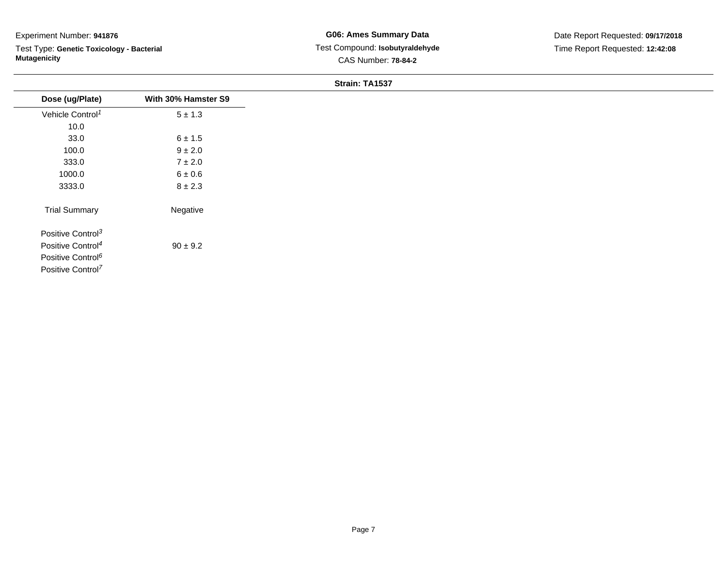Test Type: **Genetic Toxicology - Bacterial Mutagenicity**

| Dose (ug/Plate)               | With 30% Hamster S9 |
|-------------------------------|---------------------|
| Vehicle Control <sup>1</sup>  | $5 \pm 1.3$         |
| 10.0                          |                     |
| 33.0                          | $6 \pm 1.5$         |
| 100.0                         | $9 \pm 2.0$         |
| 333.0                         | $7 \pm 2.0$         |
| 1000.0                        | $6 \pm 0.6$         |
| 3333.0                        | $8 \pm 2.3$         |
| <b>Trial Summary</b>          | Negative            |
| Positive Control <sup>3</sup> |                     |
| Positive Control <sup>4</sup> | $90 \pm 9.2$        |
| Positive Control <sup>6</sup> |                     |
| Positive Control <sup>7</sup> |                     |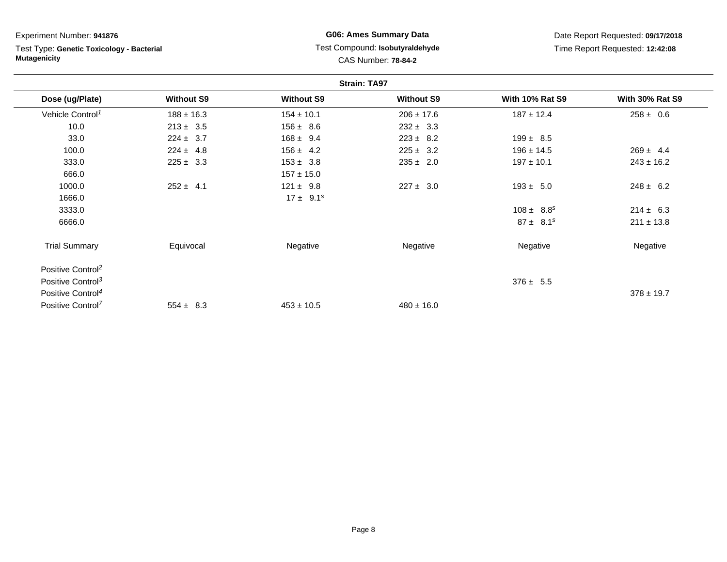| Experiment Number: 941876                                        |                   | <b>G06: Ames Summary Data</b>                                 |                   | Date Report Requested: 09/17/2018 |                        |
|------------------------------------------------------------------|-------------------|---------------------------------------------------------------|-------------------|-----------------------------------|------------------------|
| Test Type: Genetic Toxicology - Bacterial<br><b>Mutagenicity</b> |                   | Test Compound: Isobutyraldehyde<br><b>CAS Number: 78-84-2</b> |                   | Time Report Requested: 12:42:08   |                        |
|                                                                  |                   | <b>Strain: TA97</b>                                           |                   |                                   |                        |
| Dose (ug/Plate)                                                  | <b>Without S9</b> | <b>Without S9</b>                                             | <b>Without S9</b> | <b>With 10% Rat S9</b>            | <b>With 30% Rat S9</b> |
| Vehicle Control <sup>1</sup>                                     | $188 \pm 16.3$    | $154 \pm 10.1$                                                | $206 \pm 17.6$    | $187 \pm 12.4$                    | $258 \pm 0.6$          |
| 10.0                                                             | $213 \pm 3.5$     | $156 \pm 8.6$                                                 | $232 \pm 3.3$     |                                   |                        |
| 33.0                                                             | $224 \pm 3.7$     | $168 \pm 9.4$                                                 | $223 \pm 8.2$     | $199 \pm 8.5$                     |                        |
| 100.0                                                            | $224 \pm 4.8$     | $156 \pm 4.2$                                                 | $225 \pm 3.2$     | $196 \pm 14.5$                    | $269 \pm 4.4$          |
| 333.0                                                            | $225 \pm 3.3$     | $153 \pm 3.8$                                                 | $235 \pm 2.0$     | $197 \pm 10.1$                    | $243 \pm 16.2$         |
| 666.0                                                            |                   | $157 \pm 15.0$                                                |                   |                                   |                        |
| 1000.0                                                           | $252 \pm 4.1$     | $121 \pm 9.8$                                                 | $227 \pm 3.0$     | $193 \pm 5.0$                     | $248 \pm 6.2$          |
| 1666.0                                                           |                   | $17 \pm 9.1^s$                                                |                   |                                   |                        |
| 3333.0                                                           |                   |                                                               |                   | $108 \pm 8.8^s$                   | $214 \pm 6.3$          |
| 6666.0                                                           |                   |                                                               |                   | $87 \pm 8.1^s$                    | $211 \pm 13.8$         |
| <b>Trial Summary</b>                                             | Equivocal         | Negative                                                      | Negative          | Negative                          | Negative               |
| Positive Control <sup>2</sup>                                    |                   |                                                               |                   |                                   |                        |
| Positive Control <sup>3</sup>                                    |                   |                                                               |                   | $376 \pm 5.5$                     |                        |
| Positive Control <sup>4</sup>                                    |                   |                                                               |                   |                                   | $378 \pm 19.7$         |
| Positive Control <sup>7</sup>                                    | $554 \pm 8.3$     | $453 \pm 10.5$                                                | $480 \pm 16.0$    |                                   |                        |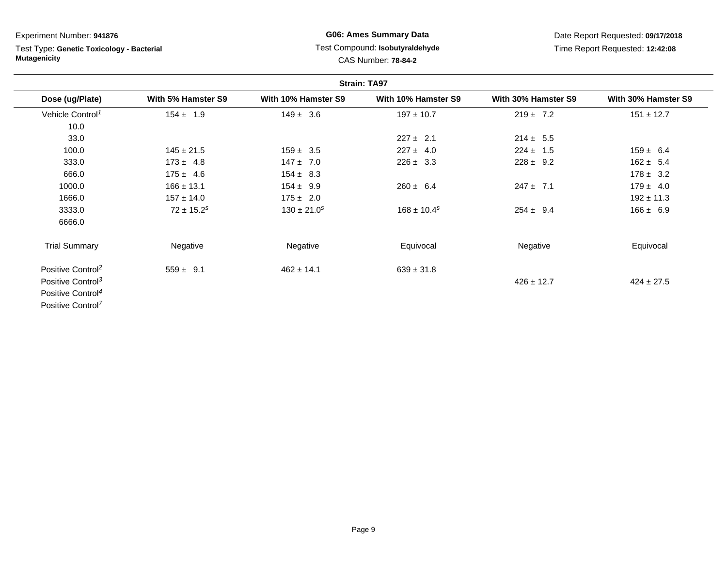# Test Type: **Genetic Toxicology - Bacterial Mutagenicity**

# **G06: Ames Summary Data** Test Compound: **Isobutyraldehyde**CAS Number: **78-84-2**

| <b>Strain: TA97</b>           |                            |                     |                             |                     |                     |
|-------------------------------|----------------------------|---------------------|-----------------------------|---------------------|---------------------|
| Dose (ug/Plate)               | With 5% Hamster S9         | With 10% Hamster S9 | With 10% Hamster S9         | With 30% Hamster S9 | With 30% Hamster S9 |
| Vehicle Control <sup>1</sup>  | $154 \pm 1.9$              | $149 \pm 3.6$       | $197 \pm 10.7$              | $219 \pm 7.2$       | $151 \pm 12.7$      |
| 10.0                          |                            |                     |                             |                     |                     |
| 33.0                          |                            |                     | $227 \pm 2.1$               | $214 \pm 5.5$       |                     |
| 100.0                         | $145 \pm 21.5$             | $159 \pm 3.5$       | $227 \pm 4.0$               | $224 \pm 1.5$       | $159 \pm 6.4$       |
| 333.0                         | $173 \pm 4.8$              | $147 \pm 7.0$       | $226 \pm 3.3$               | $228 \pm 9.2$       | $162 \pm 5.4$       |
| 666.0                         | $175 \pm 4.6$              | $154 \pm 8.3$       |                             |                     | $178 \pm 3.2$       |
| 1000.0                        | $166 \pm 13.1$             | $154 \pm 9.9$       | $260 \pm 6.4$               | $247 \pm 7.1$       | $179 \pm 4.0$       |
| 1666.0                        | $157 \pm 14.0$             | $175 \pm 2.0$       |                             |                     | $192 \pm 11.3$      |
| 3333.0                        | $72 \pm 15.2$ <sup>s</sup> | $130 \pm 21.0^s$    | $168 \pm 10.4$ <sup>s</sup> | $254 \pm 9.4$       | $166 \pm 6.9$       |
| 6666.0                        |                            |                     |                             |                     |                     |
| <b>Trial Summary</b>          | Negative                   | Negative            | Equivocal                   | Negative            | Equivocal           |
| Positive Control <sup>2</sup> | $559 \pm 9.1$              | $462 \pm 14.1$      | $639 \pm 31.8$              |                     |                     |
| Positive Control <sup>3</sup> |                            |                     |                             | $426 \pm 12.7$      | $424 \pm 27.5$      |
| Positive Control <sup>4</sup> |                            |                     |                             |                     |                     |
| Positive Control <sup>7</sup> |                            |                     |                             |                     |                     |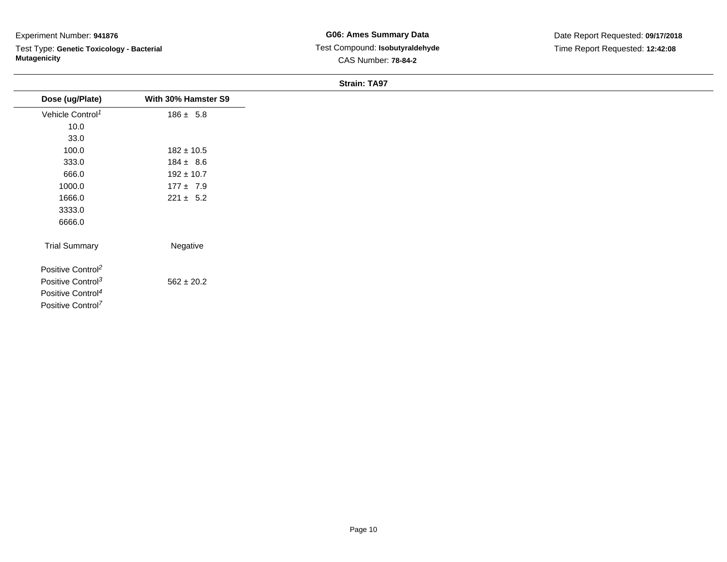Test Type: **Genetic Toxicology - Bacterial Mutagenicity**

**G06: Ames Summary Data** Test Compound: **Isobutyraldehyde**CAS Number: **78-84-2**

| Dose (ug/Plate)               | With 30% Hamster S9 |
|-------------------------------|---------------------|
| Vehicle Control <sup>1</sup>  | $186 \pm 5.8$       |
| 10.0                          |                     |
| 33.0                          |                     |
| 100.0                         | $182 \pm 10.5$      |
| 333.0                         | $184 \pm 8.6$       |
| 666.0                         | $192 \pm 10.7$      |
| 1000.0                        | $177 \pm 7.9$       |
| 1666.0                        | $221 \pm 5.2$       |
| 3333.0                        |                     |
| 6666.0                        |                     |
|                               |                     |
| <b>Trial Summary</b>          | Negative            |
| Positive Control <sup>2</sup> |                     |
| Positive Control <sup>3</sup> | $562 \pm 20.2$      |
| Positive Control <sup>4</sup> |                     |
| Positive Control <sup>7</sup> |                     |
|                               |                     |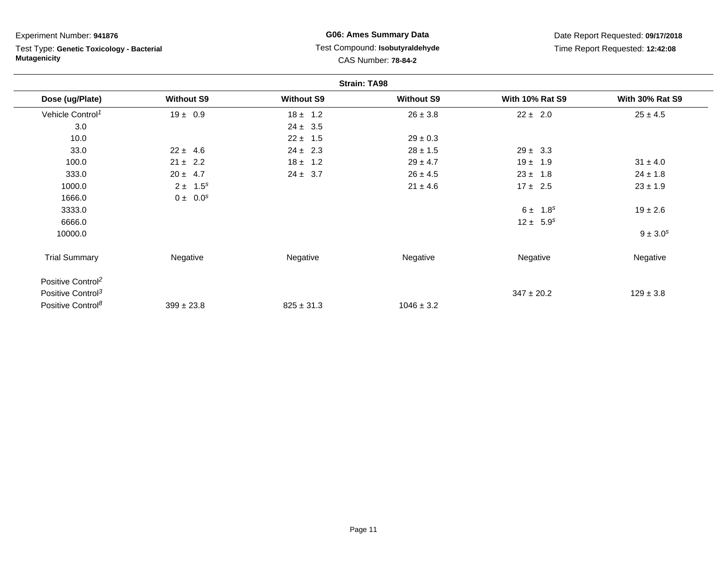Test Type: **Genetic Toxicology - Bacterial Mutagenicity**

# **G06: Ames Summary Data** Test Compound: **Isobutyraldehyde**CAS Number: **78-84-2**

| <b>Strain: TA98</b>           |                   |                   |                   |                        |                        |
|-------------------------------|-------------------|-------------------|-------------------|------------------------|------------------------|
| Dose (ug/Plate)               | <b>Without S9</b> | <b>Without S9</b> | <b>Without S9</b> | <b>With 10% Rat S9</b> | <b>With 30% Rat S9</b> |
| Vehicle Control <sup>1</sup>  | $19 \pm 0.9$      | $18 \pm 1.2$      | $26 \pm 3.8$      | $22 \pm 2.0$           | $25 \pm 4.5$           |
| 3.0                           |                   | $24 \pm 3.5$      |                   |                        |                        |
| 10.0                          |                   | $22 \pm 1.5$      | $29 \pm 0.3$      |                        |                        |
| 33.0                          | $22 \pm 4.6$      | $24 \pm 2.3$      | $28 \pm 1.5$      | $29 \pm 3.3$           |                        |
| 100.0                         | $21 \pm 2.2$      | $18 \pm 1.2$      | $29 \pm 4.7$      | $19 \pm 1.9$           | $31 \pm 4.0$           |
| 333.0                         | $20 \pm 4.7$      | $24 \pm 3.7$      | $26 \pm 4.5$      | $23 \pm 1.8$           | $24 \pm 1.8$           |
| 1000.0                        | $2 \pm 1.5^s$     |                   | $21 \pm 4.6$      | $17 \pm 2.5$           | $23 \pm 1.9$           |
| 1666.0                        | $0 \pm 0.0^s$     |                   |                   |                        |                        |
| 3333.0                        |                   |                   |                   | $6 \pm 1.8^s$          | $19 \pm 2.6$           |
| 6666.0                        |                   |                   |                   | $12 \pm 5.9^s$         |                        |
| 10000.0                       |                   |                   |                   |                        | $9 \pm 3.0^s$          |
| <b>Trial Summary</b>          | Negative          | Negative          | Negative          | Negative               | Negative               |
| Positive Control <sup>2</sup> |                   |                   |                   |                        |                        |
| Positive Control <sup>3</sup> |                   |                   |                   | $347 \pm 20.2$         | $129 \pm 3.8$          |
| Positive Control <sup>8</sup> | $399 \pm 23.8$    | $825 \pm 31.3$    | $1046 \pm 3.2$    |                        |                        |
|                               |                   |                   |                   |                        |                        |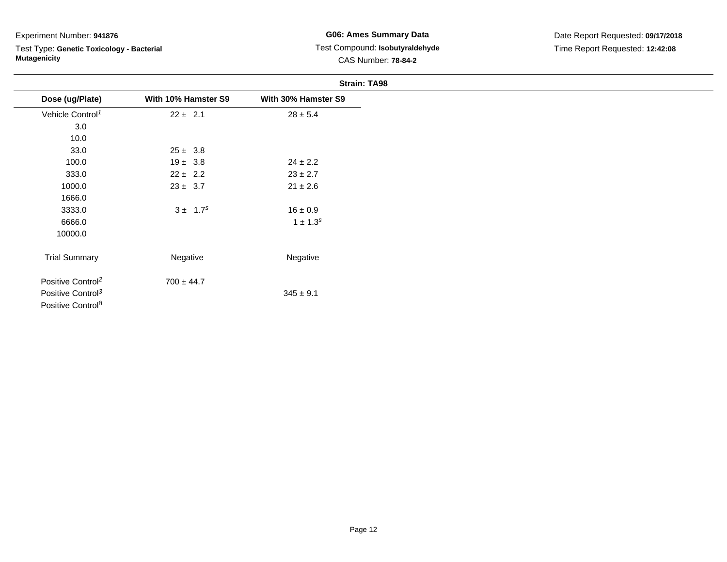Test Type: **Genetic Toxicology - Bacterial Mutagenicity**

## **G06: Ames Summary Data** Test Compound: **Isobutyraldehyde**CAS Number: **78-84-2**

| <b>Strain: TA98</b>           |                     |                     |  |  |
|-------------------------------|---------------------|---------------------|--|--|
| Dose (ug/Plate)               | With 10% Hamster S9 | With 30% Hamster S9 |  |  |
| Vehicle Control <sup>1</sup>  | $22 \pm 2.1$        | $28 \pm 5.4$        |  |  |
| 3.0                           |                     |                     |  |  |
| 10.0                          |                     |                     |  |  |
| 33.0                          | $25 \pm 3.8$        |                     |  |  |
| 100.0                         | $19 \pm 3.8$        | $24 \pm 2.2$        |  |  |
| 333.0                         | $22 \pm 2.2$        | $23 \pm 2.7$        |  |  |
| 1000.0                        | $23 \pm 3.7$        | $21 \pm 2.6$        |  |  |
| 1666.0                        |                     |                     |  |  |
| 3333.0                        | $3 \pm 1.7^s$       | $16 \pm 0.9$        |  |  |
| 6666.0                        |                     | $1 \pm 1.3^{s}$     |  |  |
| 10000.0                       |                     |                     |  |  |
| <b>Trial Summary</b>          | Negative            | Negative            |  |  |
| Positive Control <sup>2</sup> | $700 \pm 44.7$      |                     |  |  |
| Positive Control <sup>3</sup> |                     | $345 \pm 9.1$       |  |  |

Positive Control<sup>8</sup>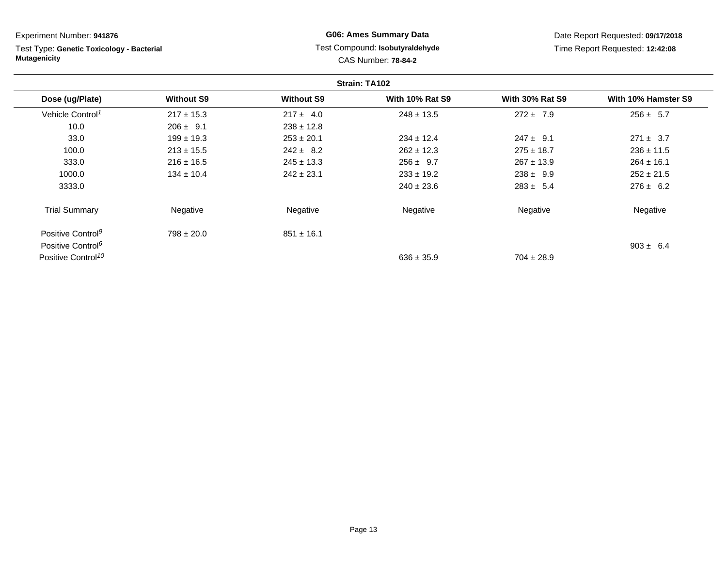| Experiment Number: 941876                                        |                   | <b>G06: Ames Summary Data</b>                                 |                        | Date Report Requested: 09/17/2018 |                     |  |  |
|------------------------------------------------------------------|-------------------|---------------------------------------------------------------|------------------------|-----------------------------------|---------------------|--|--|
| Test Type: Genetic Toxicology - Bacterial<br><b>Mutagenicity</b> |                   | Test Compound: Isobutyraldehyde<br><b>CAS Number: 78-84-2</b> |                        | Time Report Requested: 12:42:08   |                     |  |  |
| Strain: TA102                                                    |                   |                                                               |                        |                                   |                     |  |  |
| Dose (ug/Plate)                                                  | <b>Without S9</b> | <b>Without S9</b>                                             | <b>With 10% Rat S9</b> | <b>With 30% Rat S9</b>            | With 10% Hamster S9 |  |  |
| Vehicle Control <sup>1</sup>                                     | $217 \pm 15.3$    | $217 \pm 4.0$                                                 | $248 \pm 13.5$         | $272 \pm 7.9$                     | $256 \pm 5.7$       |  |  |
| 10.0                                                             | $206 \pm 9.1$     | $238 \pm 12.8$                                                |                        |                                   |                     |  |  |
| 33.0                                                             | $199 \pm 19.3$    | $253 \pm 20.1$                                                | $234 \pm 12.4$         | $247 \pm 9.1$                     | $271 \pm 3.7$       |  |  |
| 100.0                                                            | $213 \pm 15.5$    | $242 \pm 8.2$                                                 | $262 \pm 12.3$         | $275 \pm 18.7$                    | $236 \pm 11.5$      |  |  |
| 333.0                                                            | $216 \pm 16.5$    | $245 \pm 13.3$                                                | $256 \pm 9.7$          | $267 \pm 13.9$                    | $264 \pm 16.1$      |  |  |
| 1000.0                                                           | $134 \pm 10.4$    | $242 \pm 23.1$                                                | $233 \pm 19.2$         | $238 \pm 9.9$                     | $252 \pm 21.5$      |  |  |
| 3333.0                                                           |                   |                                                               | $240 \pm 23.6$         | $283 \pm 5.4$                     | $276 \pm 6.2$       |  |  |
| <b>Trial Summary</b>                                             | Negative          | Negative                                                      | Negative               | Negative                          | Negative            |  |  |
| Positive Control <sup>9</sup>                                    | $798 \pm 20.0$    | $851 \pm 16.1$                                                |                        |                                   |                     |  |  |
| Positive Control <sup>6</sup>                                    |                   |                                                               |                        |                                   | $903 \pm 6.4$       |  |  |
| Positive Control <sup>10</sup>                                   |                   |                                                               | $636 \pm 35.9$         | $704 \pm 28.9$                    |                     |  |  |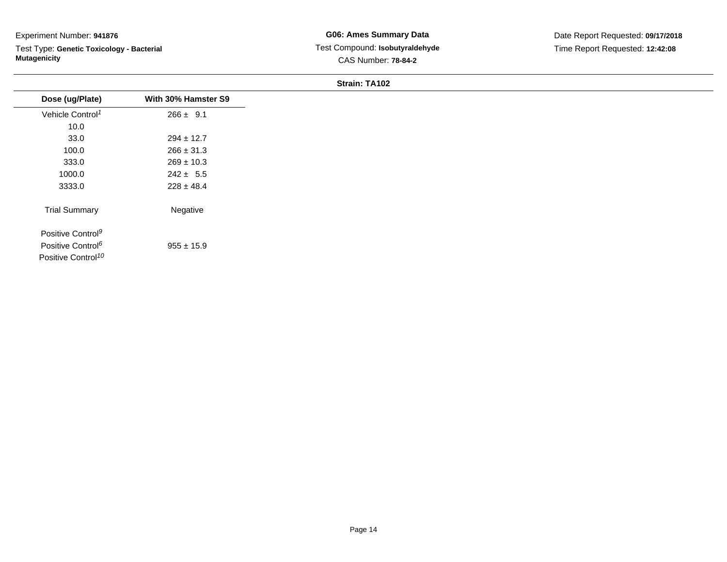Test Type: **Genetic Toxicology - Bacterial Mutagenicity**

| Dose (ug/Plate)                | With 30% Hamster S9 |
|--------------------------------|---------------------|
| Vehicle Control <sup>1</sup>   | $266 \pm 9.1$       |
| 10.0                           |                     |
| 33.0                           | $294 \pm 12.7$      |
| 100.0                          | $266 \pm 31.3$      |
| 333.0                          | $269 \pm 10.3$      |
| 1000.0                         | $242 \pm 5.5$       |
| 3333.0                         | $228 \pm 48.4$      |
| <b>Trial Summary</b>           | Negative            |
| Positive Control <sup>9</sup>  |                     |
| Positive Control <sup>6</sup>  | $955 \pm 15.9$      |
| Positive Control <sup>10</sup> |                     |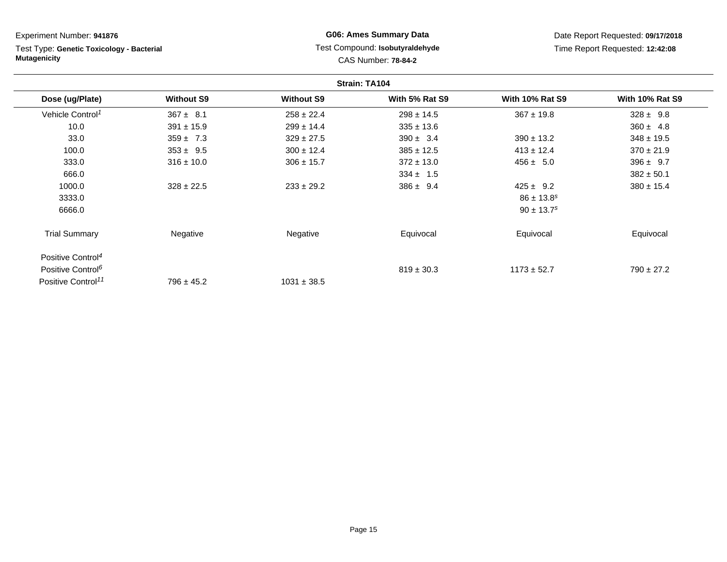| Experiment Number: 941876                                        |                   | <b>G06: Ames Summary Data</b> |                                                               | Date Report Requested: 09/17/2018 |                                 |
|------------------------------------------------------------------|-------------------|-------------------------------|---------------------------------------------------------------|-----------------------------------|---------------------------------|
| Test Type: Genetic Toxicology - Bacterial<br><b>Mutagenicity</b> |                   |                               | Test Compound: Isobutyraldehyde<br><b>CAS Number: 78-84-2</b> |                                   | Time Report Requested: 12:42:08 |
|                                                                  |                   |                               | Strain: TA104                                                 |                                   |                                 |
| Dose (ug/Plate)                                                  | <b>Without S9</b> | <b>Without S9</b>             | With 5% Rat S9                                                | <b>With 10% Rat S9</b>            | <b>With 10% Rat S9</b>          |
| Vehicle Control <sup>1</sup>                                     | $367 \pm 8.1$     | $258 \pm 22.4$                | $298 \pm 14.5$                                                | $367 \pm 19.8$                    | $328 \pm 9.8$                   |
| 10.0                                                             | $391 \pm 15.9$    | $299 \pm 14.4$                | $335 \pm 13.6$                                                |                                   | $360 \pm 4.8$                   |
| 33.0                                                             | $359 \pm 7.3$     | $329 \pm 27.5$                | $390 \pm 3.4$                                                 | $390 \pm 13.2$                    | $348 \pm 19.5$                  |
| 100.0                                                            | $353 \pm 9.5$     | $300 \pm 12.4$                | $385 \pm 12.5$                                                | $413 \pm 12.4$                    | $370 \pm 21.9$                  |
| 333.0                                                            | $316 \pm 10.0$    | $306 \pm 15.7$                | $372 \pm 13.0$                                                | $456 \pm 5.0$                     | $396 \pm 9.7$                   |
| 666.0                                                            |                   |                               | $334 \pm 1.5$                                                 |                                   | $382 \pm 50.1$                  |
| 1000.0                                                           | $328 \pm 22.5$    | $233 \pm 29.2$                | $386 \pm 9.4$                                                 | $425 \pm 9.2$                     | $380 \pm 15.4$                  |
| 3333.0                                                           |                   |                               |                                                               | $86 \pm 13.8^s$                   |                                 |
| 6666.0                                                           |                   |                               |                                                               | $90 \pm 13.7^s$                   |                                 |
| <b>Trial Summary</b>                                             | Negative          | Negative                      | Equivocal                                                     | Equivocal                         | Equivocal                       |
| Positive Control <sup>4</sup>                                    |                   |                               |                                                               |                                   |                                 |
| Positive Control <sup>6</sup>                                    |                   |                               | $819 \pm 30.3$                                                | $1173 \pm 52.7$                   | $790 \pm 27.2$                  |
| Positive Control <sup>11</sup>                                   | $796 \pm 45.2$    | $1031 \pm 38.5$               |                                                               |                                   |                                 |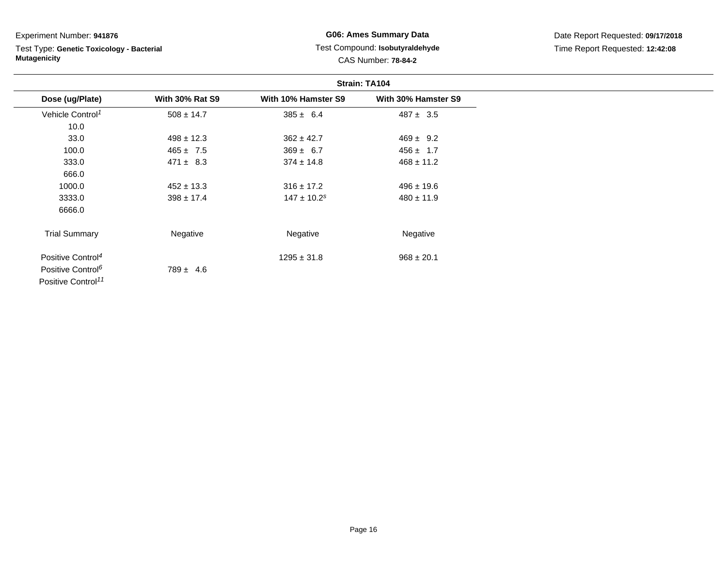Test Type: **Genetic Toxicology - Bacterial Mutagenicity**

**G06: Ames Summary Data** Test Compound: **Isobutyraldehyde**CAS Number: **78-84-2**

|                                | Strain: TA104          |                             |                     |
|--------------------------------|------------------------|-----------------------------|---------------------|
| Dose (ug/Plate)                | <b>With 30% Rat S9</b> | With 10% Hamster S9         | With 30% Hamster S9 |
| Vehicle Control <sup>1</sup>   | $508 \pm 14.7$         | $385 \pm 6.4$               | $487 \pm 3.5$       |
| 10.0                           |                        |                             |                     |
| 33.0                           | $498 \pm 12.3$         | $362 \pm 42.7$              | $469 \pm 9.2$       |
| 100.0                          | $465 \pm 7.5$          | $369 \pm 6.7$               | $456 \pm 1.7$       |
| 333.0                          | $471 \pm 8.3$          | $374 \pm 14.8$              | $468 \pm 11.2$      |
| 666.0                          |                        |                             |                     |
| 1000.0                         | $452 \pm 13.3$         | $316 \pm 17.2$              | $496 \pm 19.6$      |
| 3333.0                         | $398 \pm 17.4$         | $147 \pm 10.2$ <sup>s</sup> | $480 \pm 11.9$      |
| 6666.0                         |                        |                             |                     |
| <b>Trial Summary</b>           | Negative               | Negative                    | Negative            |
| Positive Control <sup>4</sup>  |                        | $1295 \pm 31.8$             | $968 \pm 20.1$      |
| Positive Control <sup>6</sup>  | $789 \pm 4.6$          |                             |                     |
| Positive Control <sup>11</sup> |                        |                             |                     |